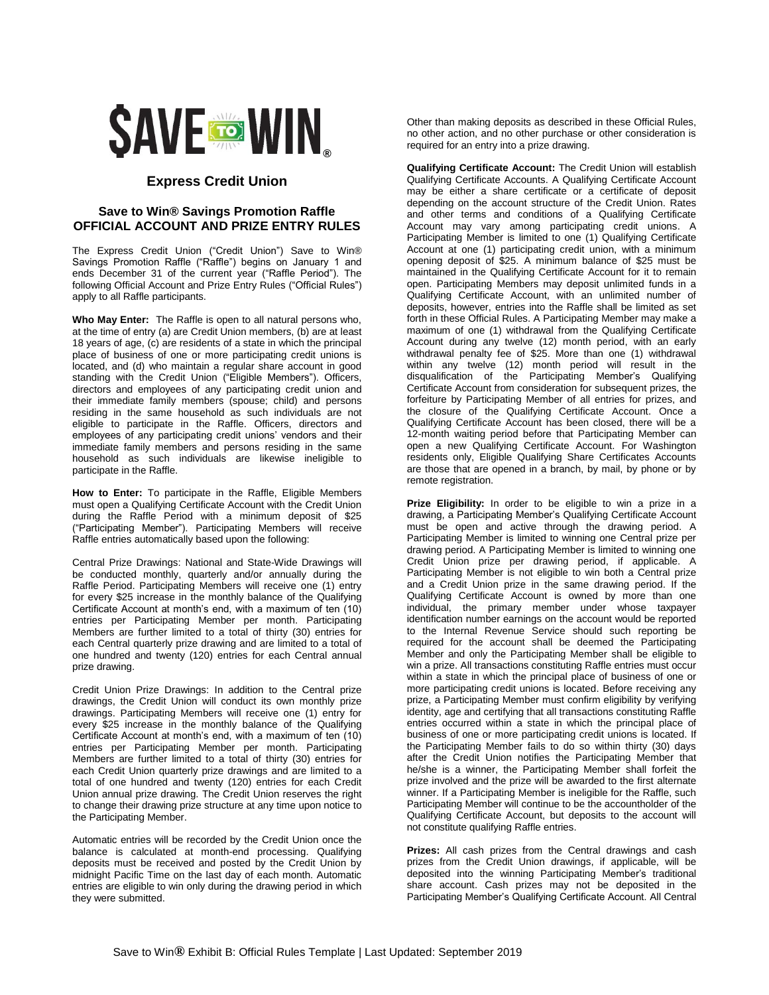

## **Express Credit Union**

## **Save to Win® Savings Promotion Raffle OFFICIAL ACCOUNT AND PRIZE ENTRY RULES**

The Express Credit Union ("Credit Union") Save to Win® Savings Promotion Raffle ("Raffle") begins on January 1 and ends December 31 of the current year ("Raffle Period"). The following Official Account and Prize Entry Rules ("Official Rules") apply to all Raffle participants.

**Who May Enter:** The Raffle is open to all natural persons who, at the time of entry (a) are Credit Union members, (b) are at least 18 years of age, (c) are residents of a state in which the principal place of business of one or more participating credit unions is located, and (d) who maintain a regular share account in good standing with the Credit Union ("Eligible Members"). Officers, directors and employees of any participating credit union and their immediate family members (spouse; child) and persons residing in the same household as such individuals are not eligible to participate in the Raffle. Officers, directors and employees of any participating credit unions' vendors and their immediate family members and persons residing in the same household as such individuals are likewise ineligible to participate in the Raffle.

**How to Enter:** To participate in the Raffle, Eligible Members must open a Qualifying Certificate Account with the Credit Union during the Raffle Period with a minimum deposit of \$25 ("Participating Member"). Participating Members will receive Raffle entries automatically based upon the following:

Central Prize Drawings: National and State-Wide Drawings will be conducted monthly, quarterly and/or annually during the Raffle Period. Participating Members will receive one (1) entry for every \$25 increase in the monthly balance of the Qualifying Certificate Account at month's end, with a maximum of ten (10) entries per Participating Member per month. Participating Members are further limited to a total of thirty (30) entries for each Central quarterly prize drawing and are limited to a total of one hundred and twenty (120) entries for each Central annual prize drawing.

Credit Union Prize Drawings: In addition to the Central prize drawings, the Credit Union will conduct its own monthly prize drawings. Participating Members will receive one (1) entry for every \$25 increase in the monthly balance of the Qualifying Certificate Account at month's end, with a maximum of ten (10) entries per Participating Member per month. Participating Members are further limited to a total of thirty (30) entries for each Credit Union quarterly prize drawings and are limited to a total of one hundred and twenty (120) entries for each Credit Union annual prize drawing. The Credit Union reserves the right to change their drawing prize structure at any time upon notice to the Participating Member.

Automatic entries will be recorded by the Credit Union once the balance is calculated at month-end processing. Qualifying deposits must be received and posted by the Credit Union by midnight Pacific Time on the last day of each month. Automatic entries are eligible to win only during the drawing period in which they were submitted.

Other than making deposits as described in these Official Rules, no other action, and no other purchase or other consideration is required for an entry into a prize drawing.

**Qualifying Certificate Account:** The Credit Union will establish Qualifying Certificate Accounts. A Qualifying Certificate Account may be either a share certificate or a certificate of deposit depending on the account structure of the Credit Union. Rates and other terms and conditions of a Qualifying Certificate Account may vary among participating credit unions. A Participating Member is limited to one (1) Qualifying Certificate Account at one (1) participating credit union, with a minimum opening deposit of \$25. A minimum balance of \$25 must be maintained in the Qualifying Certificate Account for it to remain open. Participating Members may deposit unlimited funds in a Qualifying Certificate Account, with an unlimited number of deposits, however, entries into the Raffle shall be limited as set forth in these Official Rules. A Participating Member may make a maximum of one (1) withdrawal from the Qualifying Certificate Account during any twelve (12) month period, with an early withdrawal penalty fee of \$25. More than one (1) withdrawal within any twelve (12) month period will result in the disqualification of the Participating Member's Qualifying Certificate Account from consideration for subsequent prizes, the forfeiture by Participating Member of all entries for prizes, and the closure of the Qualifying Certificate Account. Once a Qualifying Certificate Account has been closed, there will be a 12-month waiting period before that Participating Member can open a new Qualifying Certificate Account. For Washington residents only, Eligible Qualifying Share Certificates Accounts are those that are opened in a branch, by mail, by phone or by remote registration.

**Prize Eligibility:** In order to be eligible to win a prize in a drawing, a Participating Member's Qualifying Certificate Account must be open and active through the drawing period. A Participating Member is limited to winning one Central prize per drawing period. A Participating Member is limited to winning one Credit Union prize per drawing period, if applicable. A Participating Member is not eligible to win both a Central prize and a Credit Union prize in the same drawing period. If the Qualifying Certificate Account is owned by more than one individual, the primary member under whose taxpayer identification number earnings on the account would be reported to the Internal Revenue Service should such reporting be required for the account shall be deemed the Participating Member and only the Participating Member shall be eligible to win a prize. All transactions constituting Raffle entries must occur within a state in which the principal place of business of one or more participating credit unions is located. Before receiving any prize, a Participating Member must confirm eligibility by verifying identity, age and certifying that all transactions constituting Raffle entries occurred within a state in which the principal place of business of one or more participating credit unions is located. If the Participating Member fails to do so within thirty (30) days after the Credit Union notifies the Participating Member that he/she is a winner, the Participating Member shall forfeit the prize involved and the prize will be awarded to the first alternate winner. If a Participating Member is ineligible for the Raffle, such Participating Member will continue to be the accountholder of the Qualifying Certificate Account, but deposits to the account will not constitute qualifying Raffle entries.

**Prizes:** All cash prizes from the Central drawings and cash prizes from the Credit Union drawings, if applicable, will be deposited into the winning Participating Member's traditional share account. Cash prizes may not be deposited in the Participating Member's Qualifying Certificate Account. All Central